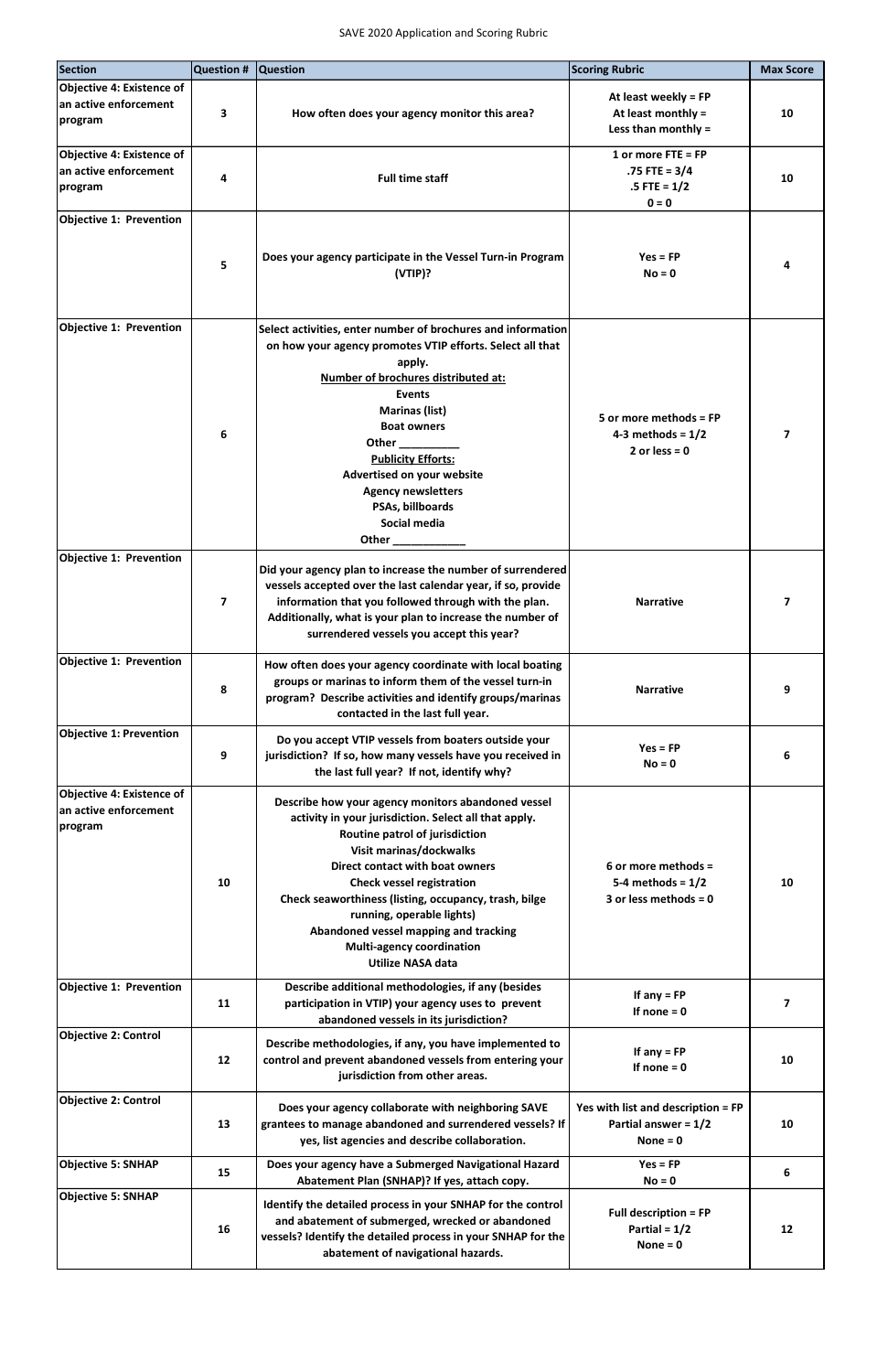| <b>Section</b>                                                       | Question #              | <b>Question</b>                                                                                                                                                                                                                                                                                                                                                                                                                                | <b>Scoring Rubric</b>                                                      | <b>Max Score</b>         |
|----------------------------------------------------------------------|-------------------------|------------------------------------------------------------------------------------------------------------------------------------------------------------------------------------------------------------------------------------------------------------------------------------------------------------------------------------------------------------------------------------------------------------------------------------------------|----------------------------------------------------------------------------|--------------------------|
| <b>Objective 4: Existence of</b><br>an active enforcement<br>program | 3                       | How often does your agency monitor this area?                                                                                                                                                                                                                                                                                                                                                                                                  | At least weekly = FP<br>At least monthly $=$<br>Less than monthly =        | 10                       |
| Objective 4: Existence of<br>an active enforcement<br>program        | 4                       | <b>Full time staff</b>                                                                                                                                                                                                                                                                                                                                                                                                                         | 1 or more $FTE = FP$<br>$.75$ FTE = 3/4<br>$.5$ FTE = $1/2$<br>$0 = 0$     | 10                       |
| <b>Objective 1: Prevention</b>                                       | 5                       | Does your agency participate in the Vessel Turn-in Program<br>(VTIP)?                                                                                                                                                                                                                                                                                                                                                                          | $Yes = FP$<br>$No = 0$                                                     | Δ                        |
| <b>Objective 1: Prevention</b>                                       | 6                       | Select activities, enter number of brochures and information<br>on how your agency promotes VTIP efforts. Select all that<br>apply.<br>Number of brochures distributed at:<br><b>Events</b><br><b>Marinas (list)</b><br><b>Boat owners</b><br>Other $\_\_$<br><b>Publicity Efforts:</b><br>Advertised on your website<br><b>Agency newsletters</b><br>PSAs, billboards<br>Social media<br>Other                                                | 5 or more methods = $FP$<br>4-3 methods = $1/2$<br>2 or less = $0$         | 7                        |
| <b>Objective 1: Prevention</b>                                       | $\overline{\mathbf{z}}$ | Did your agency plan to increase the number of surrendered<br>vessels accepted over the last calendar year, if so, provide<br>information that you followed through with the plan.<br>Additionally, what is your plan to increase the number of<br>surrendered vessels you accept this year?                                                                                                                                                   | <b>Narrative</b>                                                           | 7                        |
| <b>Objective 1: Prevention</b>                                       | 8                       | How often does your agency coordinate with local boating<br>groups or marinas to inform them of the vessel turn-in<br>program? Describe activities and identify groups/marinas<br>contacted in the last full year.                                                                                                                                                                                                                             | <b>Narrative</b>                                                           | 9                        |
| <b>Objective 1: Prevention</b>                                       | 9                       | Do you accept VTIP vessels from boaters outside your<br>jurisdiction? If so, how many vessels have you received in<br>the last full year? If not, identify why?                                                                                                                                                                                                                                                                                | $Yes = FP$<br>$No = 0$                                                     | 6                        |
| <b>Objective 4: Existence of</b><br>an active enforcement<br>program | 10                      | Describe how your agency monitors abandoned vessel<br>activity in your jurisdiction. Select all that apply.<br>Routine patrol of jurisdiction<br>Visit marinas/dockwalks<br><b>Direct contact with boat owners</b><br><b>Check vessel registration</b><br>Check seaworthiness (listing, occupancy, trash, bilge<br>running, operable lights)<br>Abandoned vessel mapping and tracking<br>Multi-agency coordination<br><b>Utilize NASA data</b> | 6 or more methods =<br>5-4 methods = $1/2$<br>3 or less methods = $0$      | 10                       |
| <b>Objective 1: Prevention</b>                                       | 11                      | Describe additional methodologies, if any (besides<br>participation in VTIP) your agency uses to prevent<br>abandoned vessels in its jurisdiction?                                                                                                                                                                                                                                                                                             | If $any = FP$<br>If none $= 0$                                             | $\overline{\phantom{a}}$ |
| <b>Objective 2: Control</b>                                          | 12                      | Describe methodologies, if any, you have implemented to<br>control and prevent abandoned vessels from entering your<br>jurisdiction from other areas.                                                                                                                                                                                                                                                                                          | If $any = FP$<br>If none $= 0$                                             | 10                       |
| <b>Objective 2: Control</b>                                          | 13                      | Does your agency collaborate with neighboring SAVE<br>grantees to manage abandoned and surrendered vessels? If<br>yes, list agencies and describe collaboration.                                                                                                                                                                                                                                                                               | Yes with list and description = FP<br>Partial answer = $1/2$<br>None = $0$ | 10                       |
| <b>Objective 5: SNHAP</b>                                            | 15                      | Does your agency have a Submerged Navigational Hazard<br>Abatement Plan (SNHAP)? If yes, attach copy.                                                                                                                                                                                                                                                                                                                                          | $Yes = FP$<br>$No = 0$                                                     | 6                        |
| <b>Objective 5: SNHAP</b>                                            | 16                      | Identify the detailed process in your SNHAP for the control<br>and abatement of submerged, wrecked or abandoned<br>vessels? Identify the detailed process in your SNHAP for the<br>abatement of navigational hazards.                                                                                                                                                                                                                          | <b>Full description = FP</b><br>Partial = $1/2$<br>None = $0$              | 12                       |